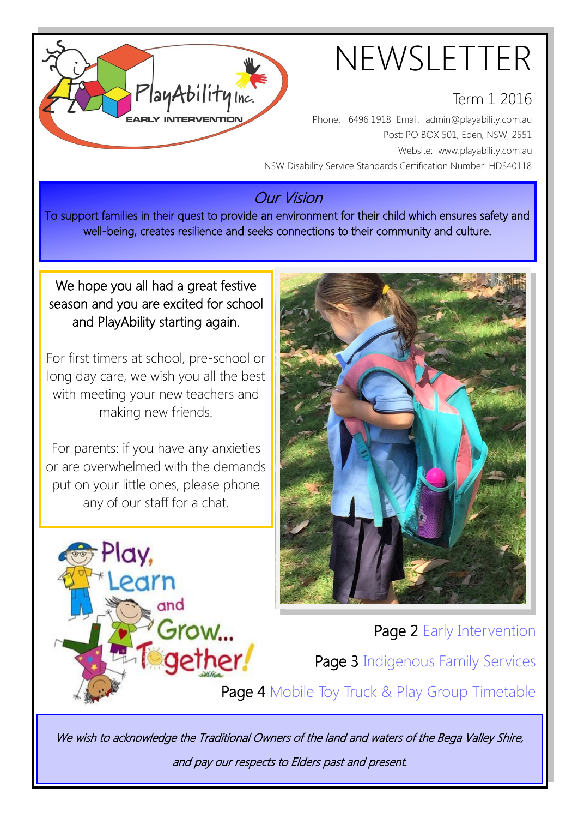

#### Term 1 2016

Phone: 6496 1918 Email: admin@playability.com.au Post: PO BOX 501, Eden, NSW, 2551 Website: www.playability.com.au NSW Disability Service Standards Certification Number: HDS40118

### Our Vision

To support families in their quest to provide an environment for their child which ensures safety and well-being, creates resilience and seeks connections to their community and culture.

#### We hope you all had a great festive season and you are excited for school and PlayAbility starting again.

PlayAbility Inc.

For first timers at school, pre-school or long day care, we wish you all the best with meeting your new teachers and making new friends.

For parents: if you have any anxieties or are overwhelmed with the demands put on your little ones, please phone any of our staff for a chat.





Page 2 Early Intervention

Page 3 Indigenous Family Services

Page 4 Mobile Toy Truck & Play Group Timetable

We wish to acknowledge the Traditional Owners of the land and waters of the Bega Valley Shire, and pay our respects to Elders past and present.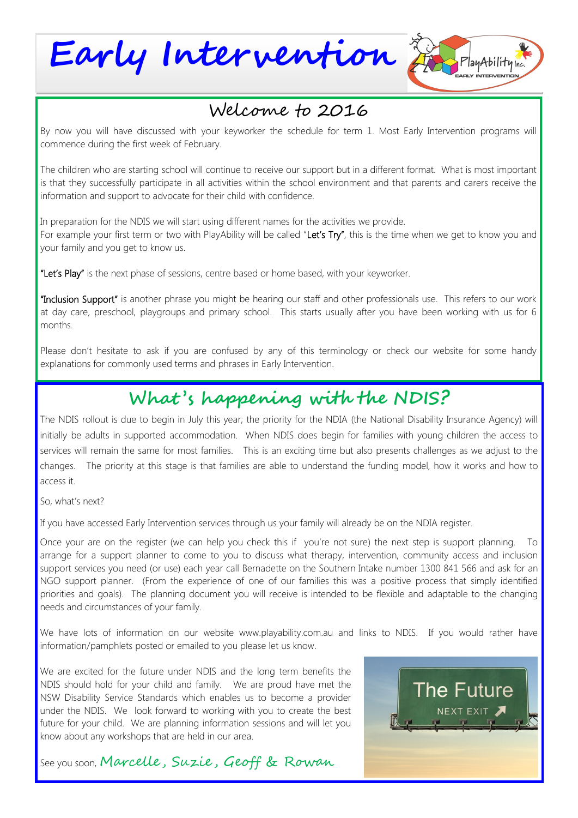**Early Intervention**

## Welcome to 2016

By now you will have discussed with your keyworker the schedule for term 1. Most Early Intervention programs will commence during the first week of February.

The children who are starting school will continue to receive our support but in a different format. What is most important is that they successfully participate in all activities within the school environment and that parents and carers receive the information and support to advocate for their child with confidence.

In preparation for the NDIS we will start using different names for the activities we provide. For example your first term or two with PlayAbility will be called "Let's Try", this is the time when we get to know you and your family and you get to know us.

"Let's Play" is the next phase of sessions, centre based or home based, with your keyworker.

"Inclusion Support" is another phrase you might be hearing our staff and other professionals use. This refers to our work at day care, preschool, playgroups and primary school. This starts usually after you have been working with us for 6 months.

Please don't hesitate to ask if you are confused by any of this terminology or check our website for some handy explanations for commonly used terms and phrases in Early Intervention.

### **What 's happening with the NDIS?**

The NDIS rollout is due to begin in July this year; the priority for the NDIA (the National Disability Insurance Agency) will initially be adults in supported accommodation. When NDIS does begin for families with young children the access to services will remain the same for most families. This is an exciting time but also presents challenges as we adjust to the changes. The priority at this stage is that families are able to understand the funding model, how it works and how to access it.

So, what's next?

If you have accessed Early Intervention services through us your family will already be on the NDIA register.

Once your are on the register (we can help you check this if you're not sure) the next step is support planning. To arrange for a support planner to come to you to discuss what therapy, intervention, community access and inclusion support services you need (or use) each year call Bernadette on the Southern Intake number 1300 841 566 and ask for an NGO support planner. (From the experience of one of our families this was a positive process that simply identified priorities and goals). The planning document you will receive is intended to be flexible and adaptable to the changing needs and circumstances of your family.

We have lots of information on our website www.playability.com.au and links to NDIS. If you would rather have information/pamphlets posted or emailed to you please let us know.

We are excited for the future under NDIS and the long term benefits the NDIS should hold for your child and family. We are proud have met the NSW Disability Service Standards which enables us to become a provider under the NDIS. We look forward to working with you to create the best future for your child. We are planning information sessions and will let you know about any workshops that are held in our area.





 $Pl$ ayAbility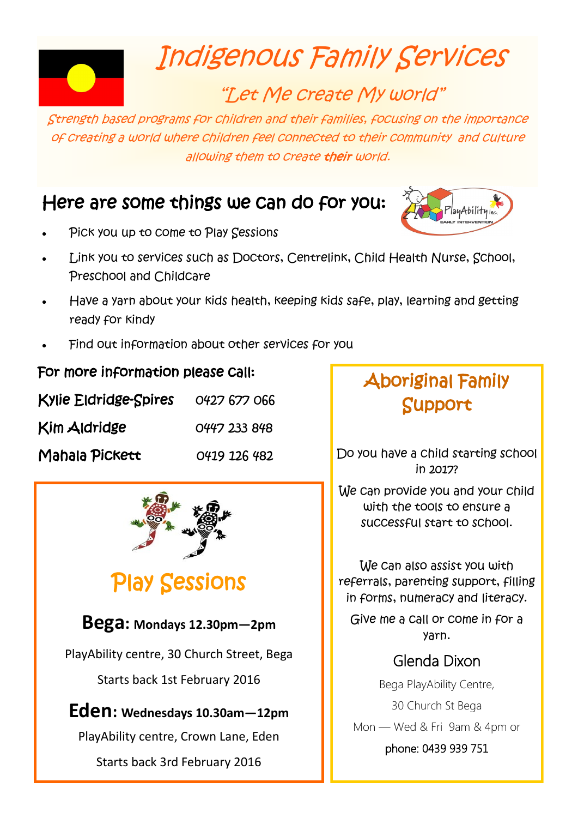

## Indigenous Family Services

## "Let Me create My world"

Strength based programs for children and their families, focusing on the importance of creating a world where children feel connected to their community and culture allowing them to create their world.

## Here are some things we can do for you:

![](_page_2_Picture_5.jpeg)

- Pick you up to come to Play Sessions
- Link you to services such as Doctors, Centrelink, Child Health Nurse, School, Preschool and Childcare
- Have a yarn about your kids health, keeping kids safe, play, learning and getting ready for kindy
- Find out information about other services for you

#### For more information please call:

| <b>Kylie Eldridge-Spires</b> | 0427 677 066 |
|------------------------------|--------------|
| Kim Aldridge                 | 0447 233 848 |
| Mahala Pickett               | 0419 126 482 |

![](_page_2_Picture_12.jpeg)

## Play Sessions

#### **Bega: Mondays 12.30pm—2pm**

PlayAbility centre, 30 Church Street, Bega

Starts back 1st February 2016

#### **Eden: Wednesdays 10.30am—12pm**

PlayAbility centre, Crown Lane, Eden

Starts back 3rd February 2016

## Aboriginal Family Support

Do you have a child starting school in 2017?

We can provide you and your child with the tools to ensure a successful start to school.

We can also assist you with referrals, parenting support, filling in forms, numeracy and literacy.

Give me a call or come in for a yarn.

#### Glenda Dixon

Bega PlayAbility Centre,

30 Church St Bega

Mon — Wed & Fri 9am & 4pm or

phone: 0439 939 751